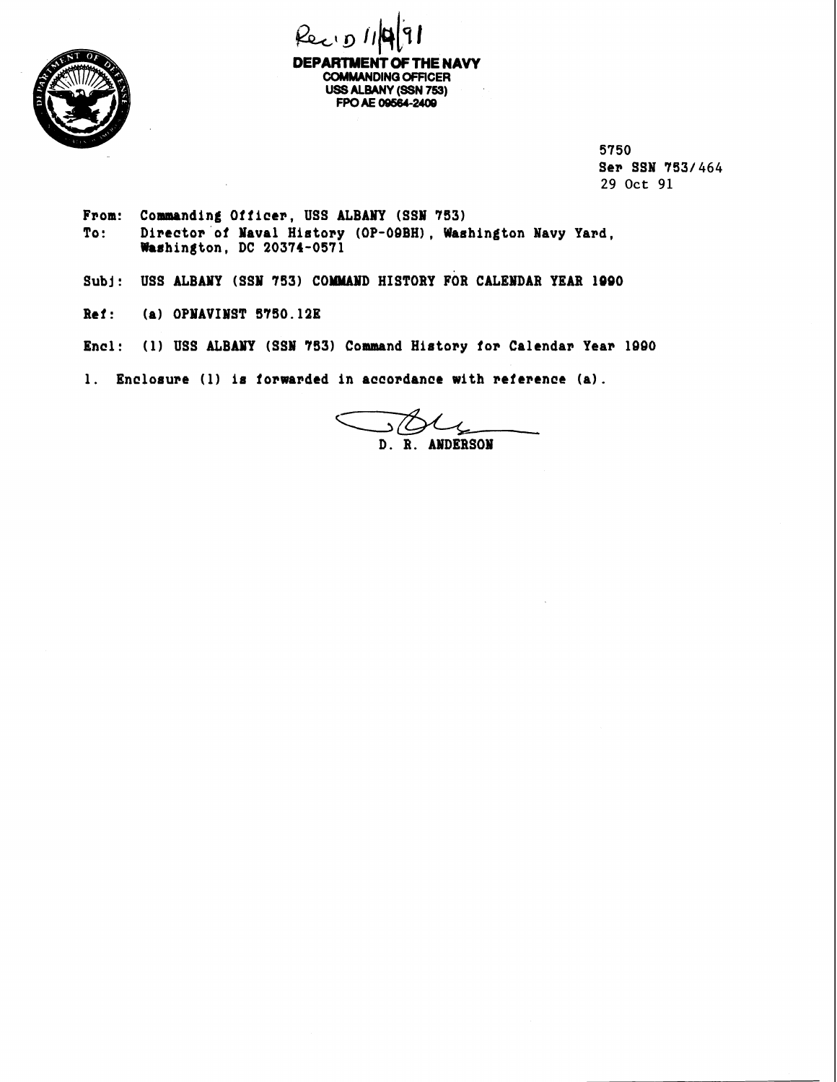

Recipi **DEPARTMENT OF THE NAVY COMMANDING OFFICER USS ALBANY (SSN 759) FPO AE 09684-24W** 

5750 Ser SSN 753/464 **29 Oct 91** 

- From: Commanding Officer, USS ALBANY (SSN 753) To: Director of Naval History (OP-09BH), Washington Navy Yard, **Washintton, DC 20374-0571**
- Subj: USS ALBANY (SSN 753) COMMAND HISTORY FOR CALENDAR YEAR 1990
- **Ref** : **(a) OPYAVIWST 5'750.12E**
- **Encl: (1) USS ALBANY (SSW '753) Command History for Calendar Year 1000**

1. Enclosure (1) is forwarded in accordance with reference (a).

ى/د \_  $D. R.$ **ANDERSON**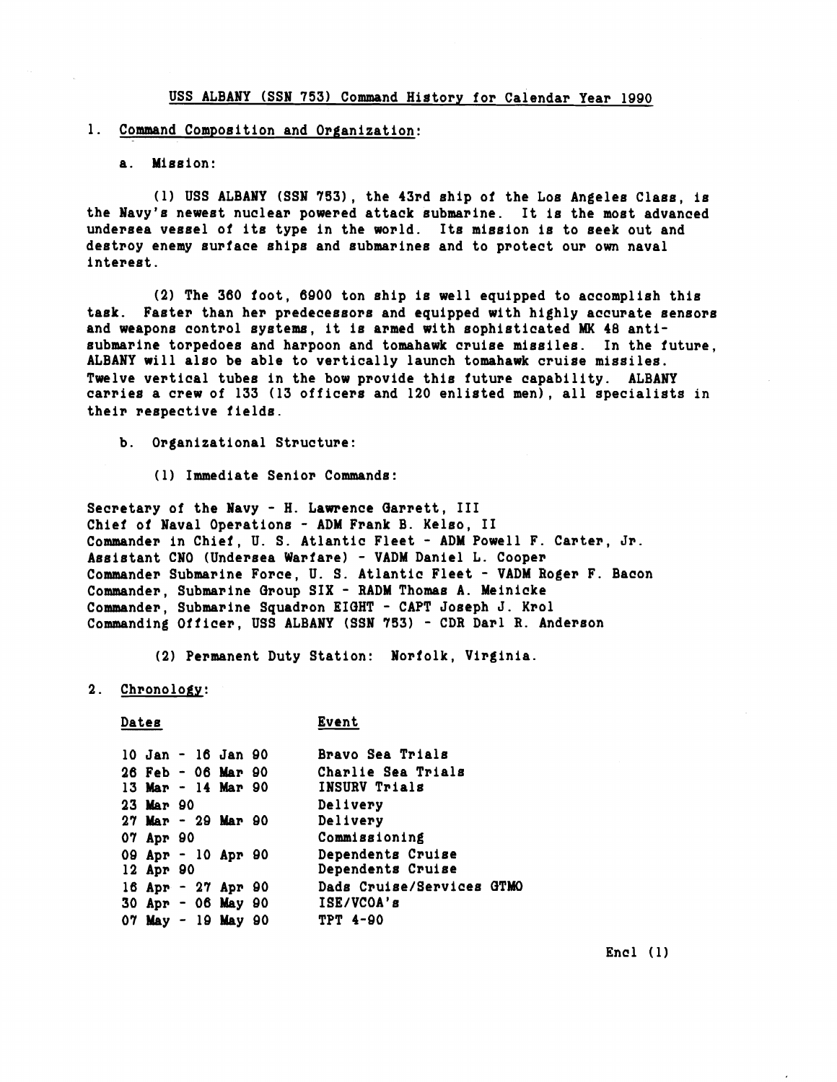## **USS ALBANY (SSN 753) Command History for Calendar Year 1990**

## **1. Command Compoeition and Organization:**

a. Mission:

**(1) USS ALBANY (SSN 7551, the 43rd ehip of the Loe Angelee Claes, ie the Navy's newest nuclear powered attack eubmarine. It is the moet advanced**  undersea vessel of its type in the world. Its mission is to seek out and destroy enemy surface ships and submarines and to protect our own naval **intereet** .

**(2) The 360 foot, 6000 ton ehip ie well equipped to accomplieh thie taek. Faeter than her predeceeeore and equipped with highly accurate eeneore and weapone control eyetems, it ie armed with eophieticated MK 48 antieubmarine torpedoee and harpoon and tomahawk cruise miseilee. In the future, ALBANY will also be able to vertically launch tomahawk cruise missiles. Twelve vertical tubee in the bow provide thie future capability. ALBANY carries a crew of 133 (13 officers and 120 enlisted men), all specialists in their reepective fields.** 

**b. Organizational Structure:** 

**(1) Immediate Senior Commande:** 

**Secretary of the Navy** - **H. Lawrence Oarrett, I11 Chief of Naval Operatione** - **ADM Frank B. Keleo, I1 Commander in Chief, U. S. Atlantic Fleet** - **ADM Powell F. Carter, Jr. Aeeietant CNO (Undersea Warfare)** - **VADM Daniel L. Cooper Commander Submarine Force, U. S. Atlantic Fleet** - **VADM Roger F. Bacon Commander, Submarine Group SIX** - **RADM Thomae A. Meinicke Commander, Submarine Squadron EIGHT** - **CAPT Joeeph J. Krol Commanding Officer, USS ALBANY (SSN 753)** - **CDR Darl R. Andereon** 

**(2) Permanent Duty Station: Norfolk, Virginia.** 

**2. Chronology:** 

## Dates **Event**

|           |  | 10 Jan - 16 Jan 90       | Bravo Sea Trials          |
|-----------|--|--------------------------|---------------------------|
|           |  | $26$ Feb $-06$ Mar 90    | Charlie Sea Trials        |
|           |  | $13$ Mar - $14$ Mar 90   | INSURV Trials             |
| 23 Mar 90 |  |                          | Delivery                  |
|           |  | $27$ Mar - $29$ Mar $90$ | Delivery                  |
| 07 Apr 90 |  |                          | Commissioning             |
|           |  | 09 Apr - 10 Apr 90       | Dependents Cruise         |
| 12 Apr 90 |  |                          | Dependents Cruise         |
|           |  | 16 Apr - 27 Apr 90       | Dads Cruise/Services GTMO |
|           |  | 30 Apr - 06 May 90       | ISE/VCOA's                |
|           |  | 07 May - 19 May 90       | <b>TPT 4-90</b>           |

**Encl** (1)